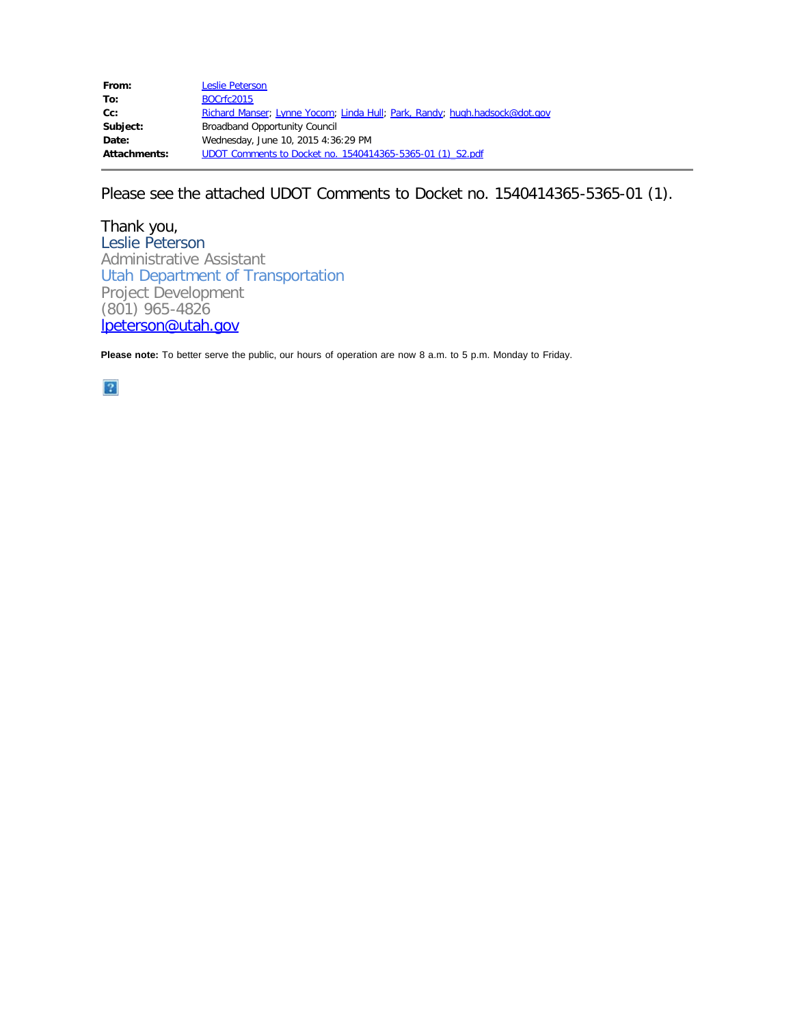| From:               | <b>Leslie Peterson</b>                                                     |
|---------------------|----------------------------------------------------------------------------|
| To:                 | <b>BOCrfc2015</b>                                                          |
| $Cc$ :              | Richard Manser; Lynne Yocom; Linda Hull; Park, Randy; hugh.hadsock@dot.gov |
| Subject:            | <b>Broadband Opportunity Council</b>                                       |
| Date:               | Wednesday, June 10, 2015 4:36:29 PM                                        |
| <b>Attachments:</b> | UDOT Comments to Docket no. 1540414365-5365-01 (1) S2.pdf                  |
|                     |                                                                            |

Please see the attached UDOT Comments to Docket no. 1540414365-5365-01 (1).

Thank you, Leslie Peterson Administrative Assistant Utah Department of Transportation Project Development (801) 965-4826 [lpeterson@utah.gov](mailto:lpeterson@utah.gov)

**Please note:** To better serve the public, our hours of operation are now 8 a.m. to 5 p.m. Monday to Friday.

 $\overline{3}$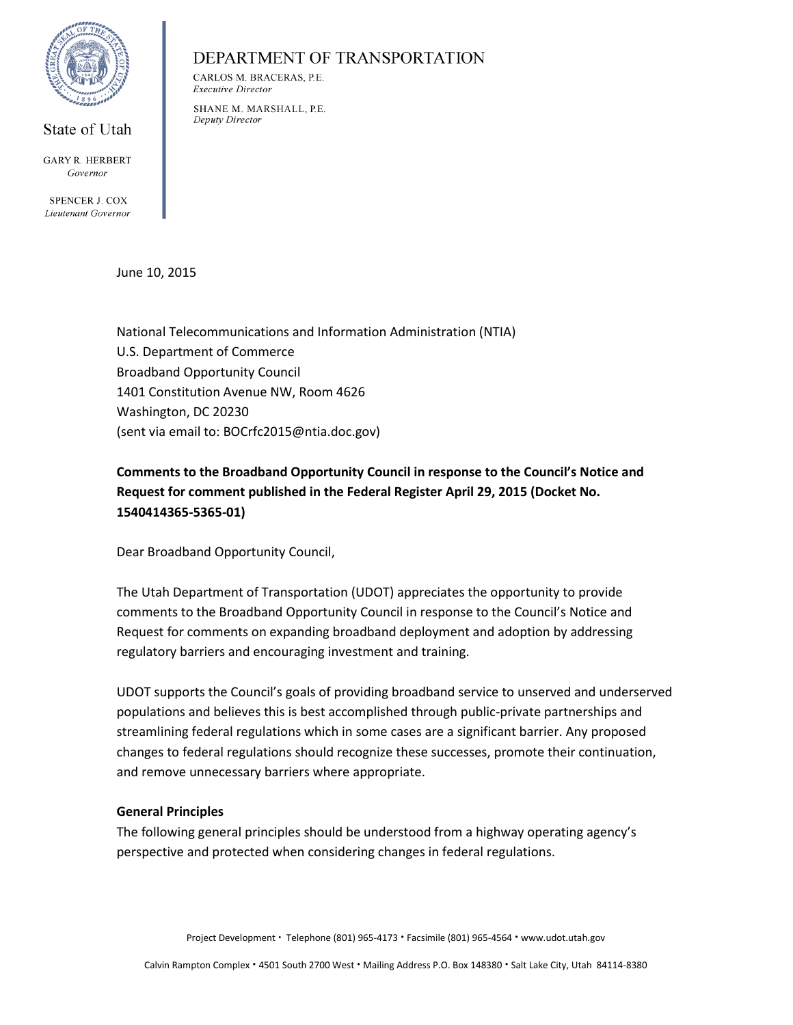

#### State of Utah

**GARY R. HERBERT** Governor

**SPENCER J. COX** Lieutenant Governor

June 10, 2015

National Telecommunications and Information Administration (NTIA) U.S. Department of Commerce Broadband Opportunity Council 1401 Constitution Avenue NW, Room 4626 Washington, DC 20230 (sent via email to: BOCrfc2015@ntia.doc.gov)

DEPARTMENT OF TRANSPORTATION

CARLOS M. BRACERAS, P.E.

SHANE M. MARSHALL, P.E.

**Executive Director** 

Deputy Director

**Comments to the Broadband Opportunity Council in response to the Council's Notice and Request for comment published in the Federal Register April 29, 2015 (Docket No. 1540414365-5365-01)**

Dear Broadband Opportunity Council,

The Utah Department of Transportation (UDOT) appreciates the opportunity to provide comments to the Broadband Opportunity Council in response to the Council's Notice and Request for comments on expanding broadband deployment and adoption by addressing regulatory barriers and encouraging investment and training.

UDOT supports the Council's goals of providing broadband service to unserved and underserved populations and believes this is best accomplished through public-private partnerships and streamlining federal regulations which in some cases are a significant barrier. Any proposed changes to federal regulations should recognize these successes, promote their continuation, and remove unnecessary barriers where appropriate.

#### **General Principles**

The following general principles should be understood from a highway operating agency's perspective and protected when considering changes in federal regulations.

Project Development • Telephone (801) 965-4173 • Facsimile (801) 965-4564 • www.udot.utah.gov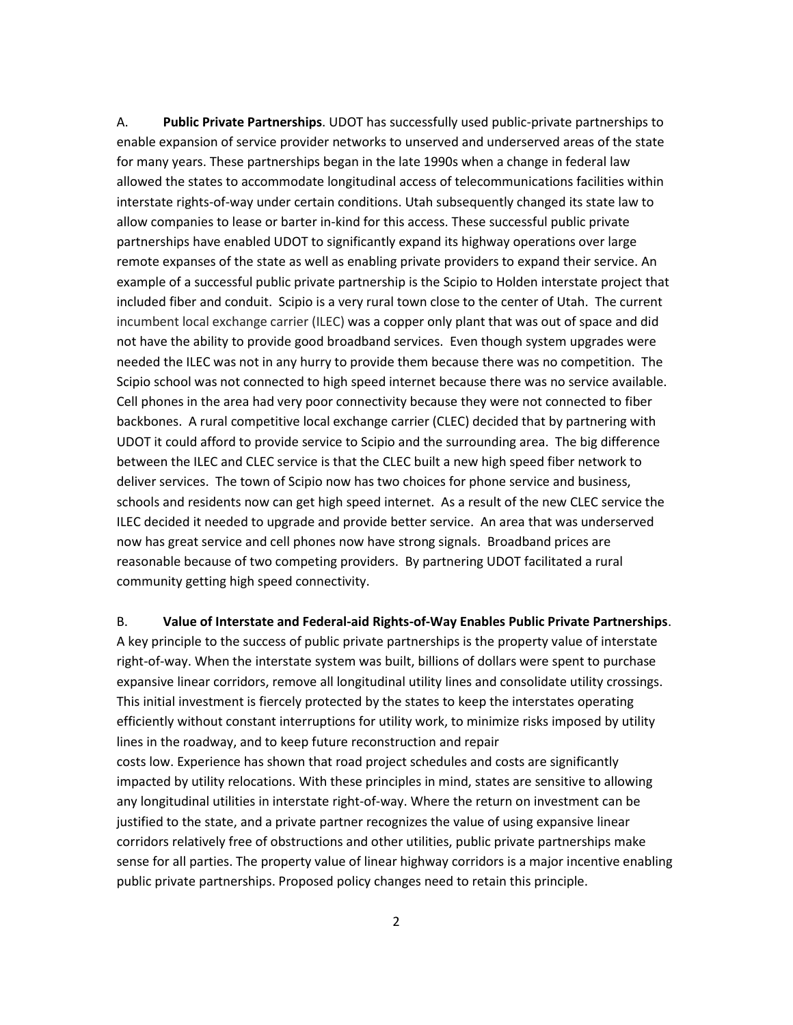A. **Public Private Partnerships**. UDOT has successfully used public-private partnerships to enable expansion of service provider networks to unserved and underserved areas of the state for many years. These partnerships began in the late 1990s when a change in federal law allowed the states to accommodate longitudinal access of telecommunications facilities within interstate rights-of-way under certain conditions. Utah subsequently changed its state law to allow companies to lease or barter in-kind for this access. These successful public private partnerships have enabled UDOT to significantly expand its highway operations over large remote expanses of the state as well as enabling private providers to expand their service. An example of a successful public private partnership is the Scipio to Holden interstate project that included fiber and conduit. Scipio is a very rural town close to the center of Utah. The current incumbent local exchange carrier (ILEC) was a copper only plant that was out of space and did not have the ability to provide good broadband services. Even though system upgrades were needed the ILEC was not in any hurry to provide them because there was no competition. The Scipio school was not connected to high speed internet because there was no service available. Cell phones in the area had very poor connectivity because they were not connected to fiber backbones. A rural competitive local exchange carrier (CLEC) decided that by partnering with UDOT it could afford to provide service to Scipio and the surrounding area. The big difference between the ILEC and CLEC service is that the CLEC built a new high speed fiber network to deliver services. The town of Scipio now has two choices for phone service and business, schools and residents now can get high speed internet. As a result of the new CLEC service the ILEC decided it needed to upgrade and provide better service. An area that was underserved now has great service and cell phones now have strong signals. Broadband prices are reasonable because of two competing providers. By partnering UDOT facilitated a rural community getting high speed connectivity.

B. **Value of Interstate and Federal-aid Rights-of-Way Enables Public Private Partnerships**. A key principle to the success of public private partnerships is the property value of interstate right-of-way. When the interstate system was built, billions of dollars were spent to purchase expansive linear corridors, remove all longitudinal utility lines and consolidate utility crossings. This initial investment is fiercely protected by the states to keep the interstates operating efficiently without constant interruptions for utility work, to minimize risks imposed by utility lines in the roadway, and to keep future reconstruction and repair costs low. Experience has shown that road project schedules and costs are significantly impacted by utility relocations. With these principles in mind, states are sensitive to allowing any longitudinal utilities in interstate right-of-way. Where the return on investment can be justified to the state, and a private partner recognizes the value of using expansive linear corridors relatively free of obstructions and other utilities, public private partnerships make sense for all parties. The property value of linear highway corridors is a major incentive enabling public private partnerships. Proposed policy changes need to retain this principle.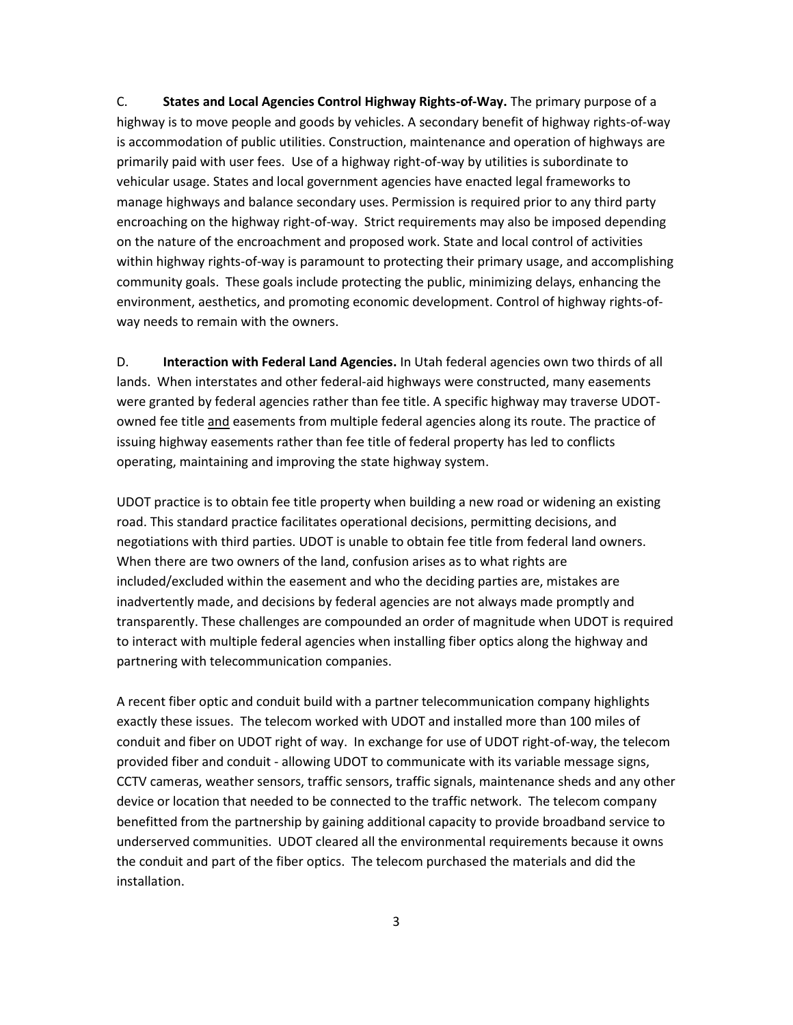C. **States and Local Agencies Control Highway Rights-of-Way.** The primary purpose of a highway is to move people and goods by vehicles. A secondary benefit of highway rights-of-way is accommodation of public utilities. Construction, maintenance and operation of highways are primarily paid with user fees. Use of a highway right-of-way by utilities is subordinate to vehicular usage. States and local government agencies have enacted legal frameworks to manage highways and balance secondary uses. Permission is required prior to any third party encroaching on the highway right-of-way. Strict requirements may also be imposed depending on the nature of the encroachment and proposed work. State and local control of activities within highway rights-of-way is paramount to protecting their primary usage, and accomplishing community goals. These goals include protecting the public, minimizing delays, enhancing the environment, aesthetics, and promoting economic development. Control of highway rights-ofway needs to remain with the owners.

D. **Interaction with Federal Land Agencies.** In Utah federal agencies own two thirds of all lands. When interstates and other federal-aid highways were constructed, many easements were granted by federal agencies rather than fee title. A specific highway may traverse UDOTowned fee title and easements from multiple federal agencies along its route. The practice of issuing highway easements rather than fee title of federal property has led to conflicts operating, maintaining and improving the state highway system.

UDOT practice is to obtain fee title property when building a new road or widening an existing road. This standard practice facilitates operational decisions, permitting decisions, and negotiations with third parties. UDOT is unable to obtain fee title from federal land owners. When there are two owners of the land, confusion arises as to what rights are included/excluded within the easement and who the deciding parties are, mistakes are inadvertently made, and decisions by federal agencies are not always made promptly and transparently. These challenges are compounded an order of magnitude when UDOT is required to interact with multiple federal agencies when installing fiber optics along the highway and partnering with telecommunication companies.

A recent fiber optic and conduit build with a partner telecommunication company highlights exactly these issues. The telecom worked with UDOT and installed more than 100 miles of conduit and fiber on UDOT right of way. In exchange for use of UDOT right-of-way, the telecom provided fiber and conduit - allowing UDOT to communicate with its variable message signs, CCTV cameras, weather sensors, traffic sensors, traffic signals, maintenance sheds and any other device or location that needed to be connected to the traffic network. The telecom company benefitted from the partnership by gaining additional capacity to provide broadband service to underserved communities. UDOT cleared all the environmental requirements because it owns the conduit and part of the fiber optics. The telecom purchased the materials and did the installation.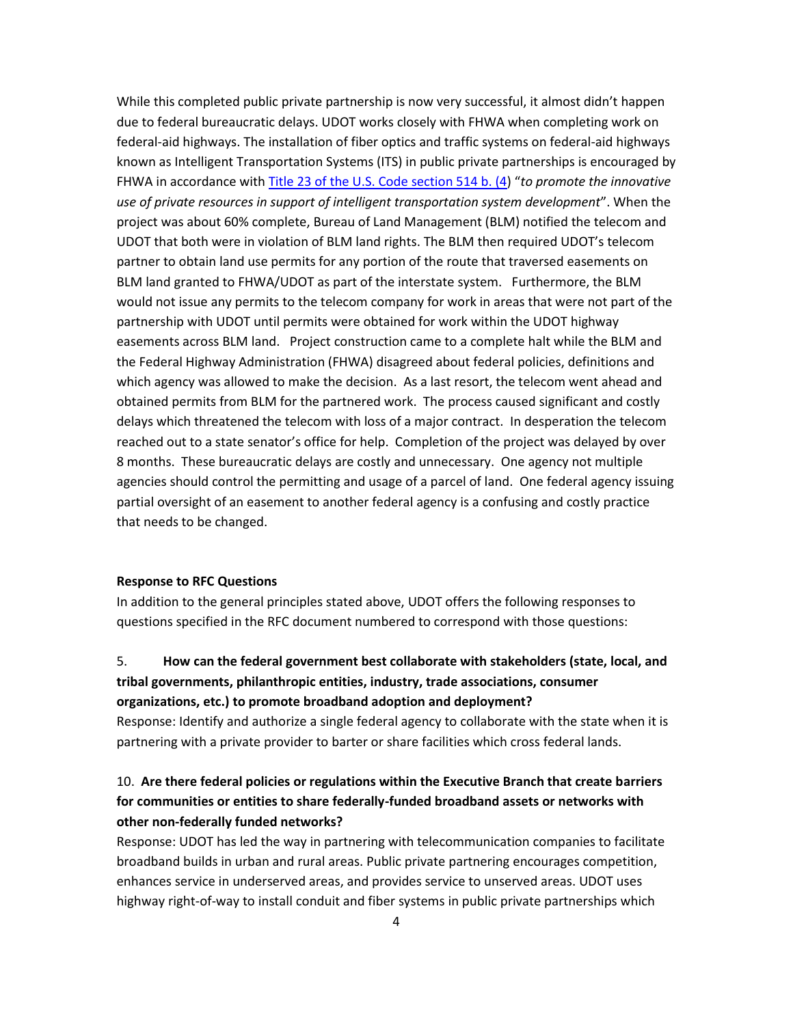While this completed public private partnership is now very successful, it almost didn't happen due to federal bureaucratic delays. UDOT works closely with FHWA when completing work on federal-aid highways. The installation of fiber optics and traffic systems on federal-aid highways known as Intelligent Transportation Systems (ITS) in public private partnerships is encouraged by FHWA in accordance with [Title 23 of the U.S. Code section 514 b. \(4\)](https://www.fhwa.dot.gov/.../title23usc.pdf) "*to promote the innovative use of private resources in support of intelligent transportation system development*". When the project was about 60% complete, Bureau of Land Management (BLM) notified the telecom and UDOT that both were in violation of BLM land rights. The BLM then required UDOT's telecom partner to obtain land use permits for any portion of the route that traversed easements on BLM land granted to FHWA/UDOT as part of the interstate system. Furthermore, the BLM would not issue any permits to the telecom company for work in areas that were not part of the partnership with UDOT until permits were obtained for work within the UDOT highway easements across BLM land. Project construction came to a complete halt while the BLM and the Federal Highway Administration (FHWA) disagreed about federal policies, definitions and which agency was allowed to make the decision. As a last resort, the telecom went ahead and obtained permits from BLM for the partnered work. The process caused significant and costly delays which threatened the telecom with loss of a major contract. In desperation the telecom reached out to a state senator's office for help. Completion of the project was delayed by over 8 months. These bureaucratic delays are costly and unnecessary. One agency not multiple agencies should control the permitting and usage of a parcel of land. One federal agency issuing partial oversight of an easement to another federal agency is a confusing and costly practice that needs to be changed.

#### **Response to RFC Questions**

In addition to the general principles stated above, UDOT offers the following responses to questions specified in the RFC document numbered to correspond with those questions:

# 5. **How can the federal government best collaborate with stakeholders (state, local, and tribal governments, philanthropic entities, industry, trade associations, consumer organizations, etc.) to promote broadband adoption and deployment?**

Response: Identify and authorize a single federal agency to collaborate with the state when it is partnering with a private provider to barter or share facilities which cross federal lands.

# 10. **Are there federal policies or regulations within the Executive Branch that create barriers for communities or entities to share federally-funded broadband assets or networks with other non-federally funded networks?**

Response: UDOT has led the way in partnering with telecommunication companies to facilitate broadband builds in urban and rural areas. Public private partnering encourages competition, enhances service in underserved areas, and provides service to unserved areas. UDOT uses highway right-of-way to install conduit and fiber systems in public private partnerships which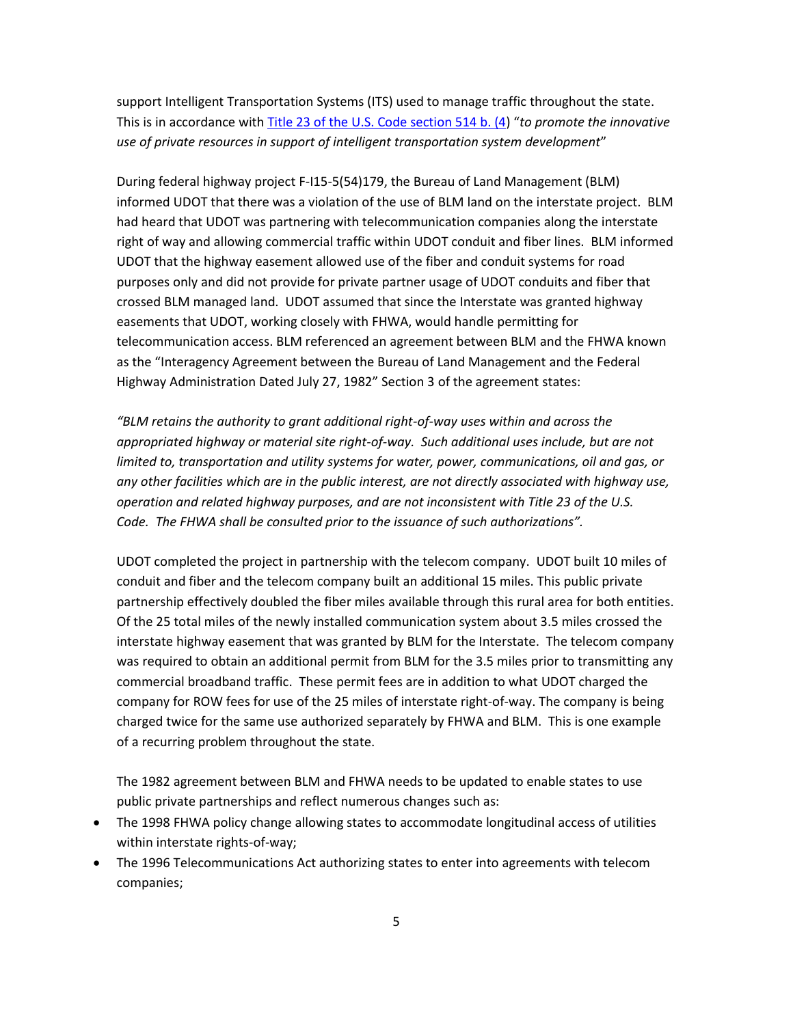support Intelligent Transportation Systems (ITS) used to manage traffic throughout the state. This is in accordance with [Title 23 of the U.S. Code section 514 b. \(4\)](https://www.fhwa.dot.gov/.../title23usc.pdf) "*to promote the innovative use of private resources in support of intelligent transportation system development*"

During federal highway project F-I15-5(54)179, the Bureau of Land Management (BLM) informed UDOT that there was a violation of the use of BLM land on the interstate project. BLM had heard that UDOT was partnering with telecommunication companies along the interstate right of way and allowing commercial traffic within UDOT conduit and fiber lines. BLM informed UDOT that the highway easement allowed use of the fiber and conduit systems for road purposes only and did not provide for private partner usage of UDOT conduits and fiber that crossed BLM managed land. UDOT assumed that since the Interstate was granted highway easements that UDOT, working closely with FHWA, would handle permitting for telecommunication access. BLM referenced an agreement between BLM and the FHWA known as the "Interagency Agreement between the Bureau of Land Management and the Federal Highway Administration Dated July 27, 1982" Section 3 of the agreement states:

*"BLM retains the authority to grant additional right-of-way uses within and across the appropriated highway or material site right-of-way. Such additional uses include, but are not limited to, transportation and utility systems for water, power, communications, oil and gas, or any other facilities which are in the public interest, are not directly associated with highway use, operation and related highway purposes, and are not inconsistent with Title 23 of the U.S. Code. The FHWA shall be consulted prior to the issuance of such authorizations".*

UDOT completed the project in partnership with the telecom company. UDOT built 10 miles of conduit and fiber and the telecom company built an additional 15 miles. This public private partnership effectively doubled the fiber miles available through this rural area for both entities. Of the 25 total miles of the newly installed communication system about 3.5 miles crossed the interstate highway easement that was granted by BLM for the Interstate. The telecom company was required to obtain an additional permit from BLM for the 3.5 miles prior to transmitting any commercial broadband traffic. These permit fees are in addition to what UDOT charged the company for ROW fees for use of the 25 miles of interstate right-of-way. The company is being charged twice for the same use authorized separately by FHWA and BLM. This is one example of a recurring problem throughout the state.

The 1982 agreement between BLM and FHWA needs to be updated to enable states to use public private partnerships and reflect numerous changes such as:

- The 1998 FHWA policy change allowing states to accommodate longitudinal access of utilities within interstate rights-of-way;
- The 1996 Telecommunications Act authorizing states to enter into agreements with telecom companies;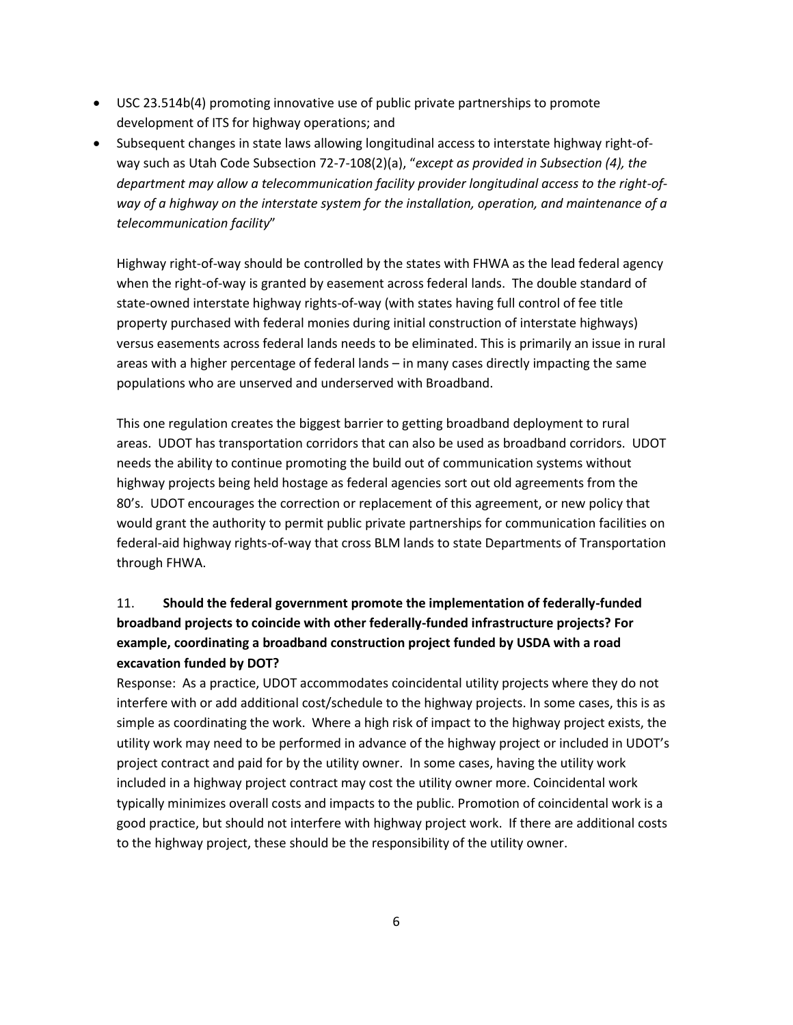- USC 23.514b(4) promoting innovative use of public private partnerships to promote development of ITS for highway operations; and
- Subsequent changes in state laws allowing longitudinal access to interstate highway right-ofway such as Utah Code Subsection 72-7-108(2)(a), "*except as provided in Subsection (4), the department may allow a telecommunication facility provider longitudinal access to the right-ofway of a highway on the interstate system for the installation, operation, and maintenance of a telecommunication facility*"

Highway right-of-way should be controlled by the states with FHWA as the lead federal agency when the right-of-way is granted by easement across federal lands. The double standard of state-owned interstate highway rights-of-way (with states having full control of fee title property purchased with federal monies during initial construction of interstate highways) versus easements across federal lands needs to be eliminated. This is primarily an issue in rural areas with a higher percentage of federal lands – in many cases directly impacting the same populations who are unserved and underserved with Broadband.

This one regulation creates the biggest barrier to getting broadband deployment to rural areas. UDOT has transportation corridors that can also be used as broadband corridors. UDOT needs the ability to continue promoting the build out of communication systems without highway projects being held hostage as federal agencies sort out old agreements from the 80's. UDOT encourages the correction or replacement of this agreement, or new policy that would grant the authority to permit public private partnerships for communication facilities on federal-aid highway rights-of-way that cross BLM lands to state Departments of Transportation through FHWA.

# 11. **Should the federal government promote the implementation of federally-funded broadband projects to coincide with other federally-funded infrastructure projects? For example, coordinating a broadband construction project funded by USDA with a road excavation funded by DOT?**

Response: As a practice, UDOT accommodates coincidental utility projects where they do not interfere with or add additional cost/schedule to the highway projects. In some cases, this is as simple as coordinating the work. Where a high risk of impact to the highway project exists, the utility work may need to be performed in advance of the highway project or included in UDOT's project contract and paid for by the utility owner. In some cases, having the utility work included in a highway project contract may cost the utility owner more. Coincidental work typically minimizes overall costs and impacts to the public. Promotion of coincidental work is a good practice, but should not interfere with highway project work. If there are additional costs to the highway project, these should be the responsibility of the utility owner.